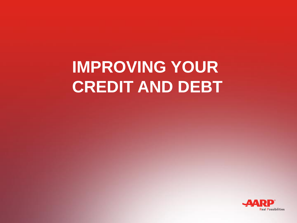## **IMPROVING YOUR CREDIT AND DEBT**

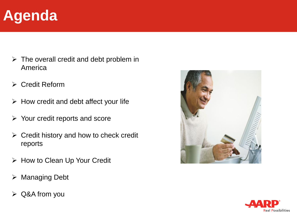### **Agenda**

- $\triangleright$  The overall credit and debt problem in America
- ➢ Credit Reform
- $\triangleright$  How credit and debt affect your life
- ➢ Your credit reports and score
- $\triangleright$  Credit history and how to check credit reports
- ➢ How to Clean Up Your Credit
- ➢ Managing Debt
- ➢ Q&A from you



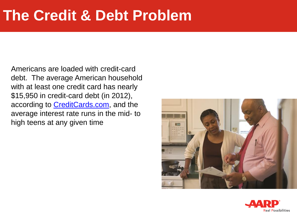#### **The Credit & Debt Problem**

Americans are loaded with credit-card debt. The average American household with at least one credit card has nearly \$15,950 in credit-card debt (in 2012), according to **CreditCards.com**, and the average interest rate runs in the mid- to high teens at any given time



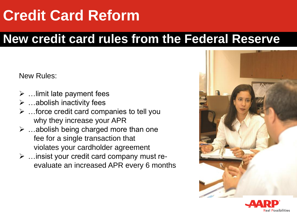### **Credit Card Reform**

#### **New credit card rules from the Federal Reserve**

New Rules:

- $\triangleright$  ... limit late payment fees
- ➢ …abolish inactivity fees
- ➢ …force credit card companies to tell you why they increase your APR
- $\triangleright$  ... abolish being charged more than one fee for a single transaction that violates your cardholder agreement
- ➢ …insist your credit card company must reevaluate an increased APR every 6 months



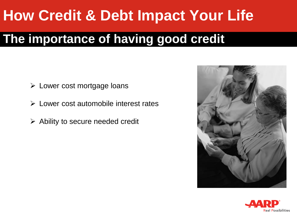### **How Credit & Debt Impact Your Life**

#### **The importance of having good credit**

- ➢ Lower cost mortgage loans
- ➢ Lower cost automobile interest rates
- $\triangleright$  Ability to secure needed credit



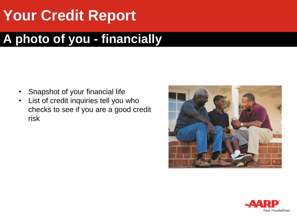### **Your Credit Report**

#### **A photo of you - financially**

- Snapshot of your financial life
- List of credit inquiries tell you who checks to see if you are a good credit risk



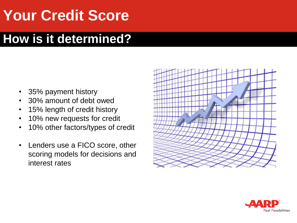### **Your Credit Score**

#### **How is it determined?**

- 35% payment history
- 30% amount of debt owed
- 15% length of credit history
- 10% new requests for credit
- 10% other factors/types of credit
- Lenders use a FICO score, other scoring models for decisions and interest rates



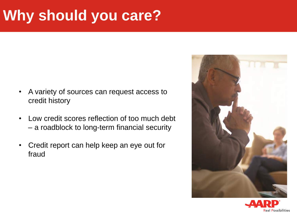### **Why should you care?**

- A variety of sources can request access to credit history
- Low credit scores reflection of too much debt – a roadblock to long-term financial security
- Credit report can help keep an eye out for fraud



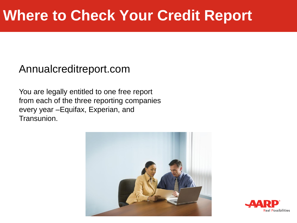#### Annualcreditreport.com

You are legally entitled to one free report from each of the three reporting companies every year –Equifax, Experian, and Transunion.



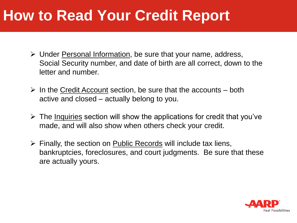#### **How to Read Your Credit Report**

- ➢ Under Personal Information, be sure that your name, address, Social Security number, and date of birth are all correct, down to the letter and number.
- $\triangleright$  In the Credit Account section, be sure that the accounts both active and closed – actually belong to you.
- $\triangleright$  The Inquiries section will show the applications for credit that you've made, and will also show when others check your credit.
- $\triangleright$  Finally, the section on Public Records will include tax liens, bankruptcies, foreclosures, and court judgments. Be sure that these are actually yours.

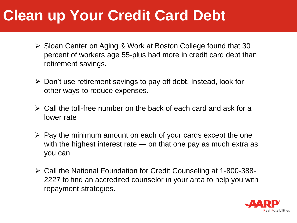### **Clean up Your Credit Card Debt**

- ➢ Sloan Center on Aging & Work at Boston College found that 30 percent of workers age 55-plus had more in credit card debt than retirement savings.
- $\triangleright$  Don't use retirement savings to pay off debt. Instead, look for other ways to reduce expenses.
- ➢ Call the toll-free number on the back of each card and ask for a lower rate
- $\triangleright$  Pay the minimum amount on each of your cards except the one with the highest interest rate — on that one pay as much extra as you can.
- ➢ Call the National Foundation for Credit Counseling at 1-800-388- 2227 to find an accredited counselor in your area to help you with repayment strategies.

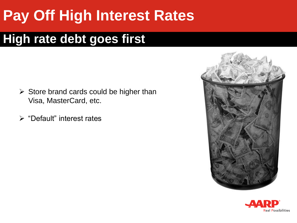### **Pay Off High Interest Rates**

#### **High rate debt goes first**

- $\triangleright$  Store brand cards could be higher than Visa, MasterCard, etc.
- ➢ "Default" interest rates



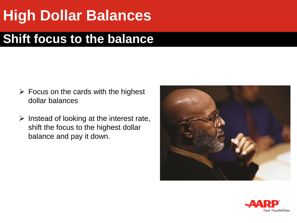### **High Dollar Balances**

#### **Shift focus to the balance**

- $\triangleright$  Focus on the cards with the highest dollar balances
- $\triangleright$  Instead of looking at the interest rate, shift the focus to the highest dollar balance and pay it down.



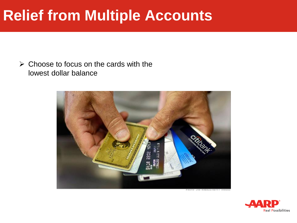#### **Relief from Multiple Accounts**

 $\triangleright$  Choose to focus on the cards with the lowest dollar balance



FROTO JOE RAEDLE/GETTY IMAGES

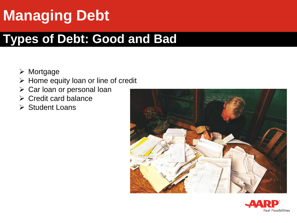## **Managing Debt**

#### **Types of Debt: Good and Bad**

- ➢ Mortgage
- ➢ Home equity loan or line of credit
- ➢ Car loan or personal loan
- ➢ Credit card balance
- ➢ Student Loans



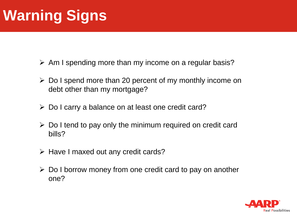### **Warning Signs**

- ➢ Am I spending more than my income on a regular basis?
- ➢ Do I spend more than 20 percent of my monthly income on debt other than my mortgage?
- ➢ Do I carry a balance on at least one credit card?
- $\triangleright$  Do I tend to pay only the minimum required on credit card bills?
- ➢ Have I maxed out any credit cards?
- ➢ Do I borrow money from one credit card to pay on another one?

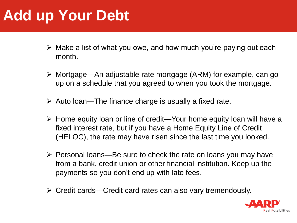### **Add up Your Debt**

- $\triangleright$  Make a list of what you owe, and how much you're paying out each month.
- ➢ Mortgage—An adjustable rate mortgage (ARM) for example, can go up on a schedule that you agreed to when you took the mortgage.
- $\triangleright$  Auto loan—The finance charge is usually a fixed rate.
- ➢ Home equity loan or line of credit—Your home equity loan will have a fixed interest rate, but if you have a Home Equity Line of Credit (HELOC), the rate may have risen since the last time you looked.
- ➢ Personal loans—Be sure to check the rate on loans you may have from a bank, credit union or other financial institution. Keep up the payments so you don't end up with late fees.
- ➢ Credit cards—Credit card rates can also vary tremendously.

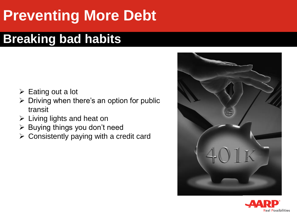### **Preventing More Debt**

#### **Breaking bad habits**

- ➢ Eating out a lot
- $\triangleright$  Driving when there's an option for public transit
- ➢ Living lights and heat on
- ➢ Buying things you don't need
- ➢ Consistently paying with a credit card